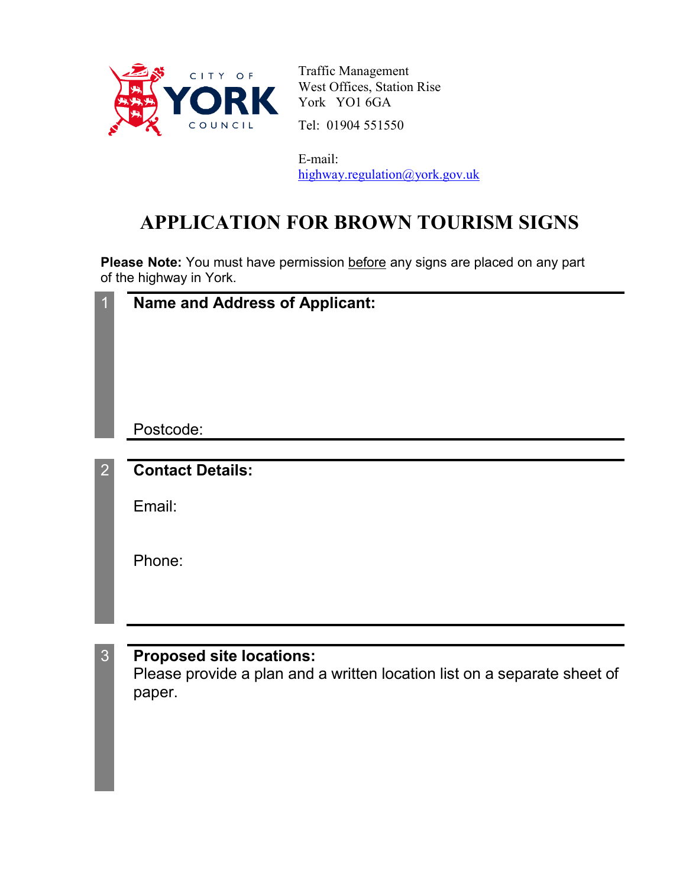

Traffic Management West Offices, Station Rise York YO1 6GA Tel: 01904 551550

E-mail: highway.regulation@york.gov.uk

## **APPLICATION FOR BROWN TOURISM SIGNS**

Please Note: You must have permission before any signs are placed on any part of the highway in York.

| <b>Name and Address of Applicant:</b> |
|---------------------------------------|
| Postcode:                             |
| <b>Contact Details:</b>               |
| Email:                                |
| Phone:                                |
|                                       |
| <b>Proposed site locations:</b>       |

Please provide a plan and a written location list on a separate sheet of paper.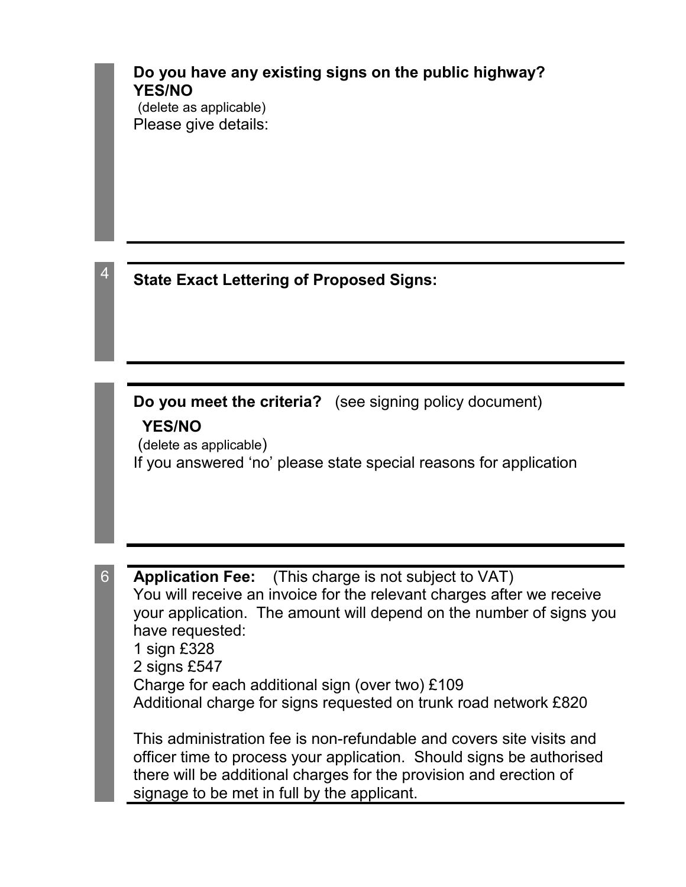## **Do you have any existing signs on the public highway? YES/NO**

(delete as applicable) Please give details:

<sup>4</sup> **State Exact Lettering of Proposed Signs:**

**Do you meet the criteria?** (see signing policy document)

## **YES/NO**

(delete as applicable) If you answered 'no' please state special reasons for application

6 **Application Fee:** (This charge is not subject to VAT) You will receive an invoice for the relevant charges after we receive your application. The amount will depend on the number of signs you have requested: 1 sign £328 2 signs £547 Charge for each additional sign (over two) £109 Additional charge for signs requested on trunk road network £820

This administration fee is non-refundable and covers site visits and officer time to process your application. Should signs be authorised there will be additional charges for the provision and erection of signage to be met in full by the applicant.